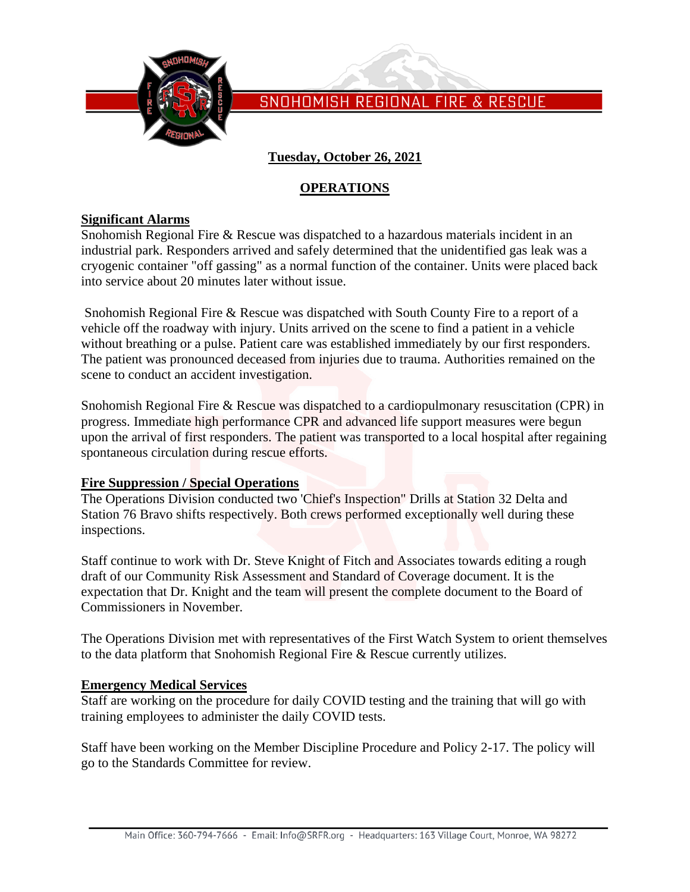

SNOHOMISH REGIONAL FIRE & RESCUE

## **Tuesday, October 26, 2021**

### **OPERATIONS**

#### **Significant Alarms**

Snohomish Regional Fire & Rescue was dispatched to a hazardous materials incident in an industrial park. Responders arrived and safely determined that the unidentified gas leak was a cryogenic container "off gassing" as a normal function of the container. Units were placed back into service about 20 minutes later without issue.

Snohomish Regional Fire & Rescue was dispatched with South County Fire to a report of a vehicle off the roadway with injury. Units arrived on the scene to find a patient in a vehicle without breathing or a pulse. Patient care was established immediately by our first responders. The patient was pronounced deceased from injuries due to trauma. Authorities remained on the scene to conduct an accident investigation.

Snohomish Regional Fire & Rescue was dispatched to a cardiopulmonary resuscitation (CPR) in progress. Immediate high performance CPR and advanced life support measures were begun upon the arrival of first responders. The patient was transported to a local hospital after regaining spontaneous circulation during rescue efforts.

#### **Fire Suppression / Special Operations**

The Operations Division conducted two 'Chief's Inspection" Drills at Station 32 Delta and Station 76 Bravo shifts respectively. Both crews performed exceptionally well during these inspections.

Staff continue to work with Dr. Steve Knight of Fitch and Associates towards editing a rough draft of our Community Risk Assessment and Standard of Coverage document. It is the expectation that Dr. Knight and the team will present the complete document to the Board of Commissioners in November.

The Operations Division met with representatives of the First Watch System to orient themselves to the data platform that Snohomish Regional Fire & Rescue currently utilizes.

#### **Emergency Medical Services**

Staff are working on the procedure for daily COVID testing and the training that will go with training employees to administer the daily COVID tests.

Staff have been working on the Member Discipline Procedure and Policy 2-17. The policy will go to the Standards Committee for review.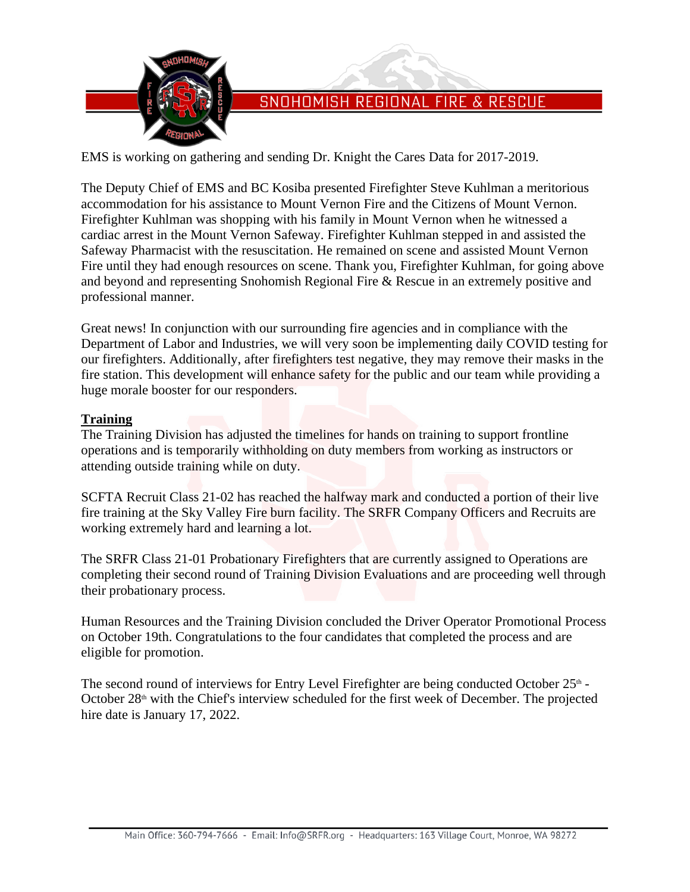

## SNOHOMISH REGIONAL FIRE & RESCUE

EMS is working on gathering and sending Dr. Knight the Cares Data for 2017-2019.

The Deputy Chief of EMS and BC Kosiba presented Firefighter Steve Kuhlman a meritorious accommodation for his assistance to Mount Vernon Fire and the Citizens of Mount Vernon. Firefighter Kuhlman was shopping with his family in Mount Vernon when he witnessed a cardiac arrest in the Mount Vernon Safeway. Firefighter Kuhlman stepped in and assisted the Safeway Pharmacist with the resuscitation. He remained on scene and assisted Mount Vernon Fire until they had enough resources on scene. Thank you, Firefighter Kuhlman, for going above and beyond and representing Snohomish Regional Fire & Rescue in an extremely positive and professional manner.

Great news! In conjunction with our surrounding fire agencies and in compliance with the Department of Labor and Industries, we will very soon be implementing daily COVID testing for our firefighters. Additionally, after firefighters test negative, they may remove their masks in the fire station. This development will enhance safety for the public and our team while providing a huge morale booster for our responders.

#### **Training**

The Training Division has adjusted the timelines for hands on training to support frontline operations and is temporarily withholding on duty members from working as instructors or attending outside training while on duty.

SCFTA Recruit Class 21-02 has reached the halfway mark and conducted a portion of their live fire training at the Sky Valley Fire burn facility. The SRFR Company Officers and Recruits are working extremely hard and learning a lot.

The SRFR Class 21-01 Probationary Firefighters that are currently assigned to Operations are completing their second round of Training Division Evaluations and are proceeding well through their probationary process.

Human Resources and the Training Division concluded the Driver Operator Promotional Process on October 19th. Congratulations to the four candidates that completed the process and are eligible for promotion.

The second round of interviews for Entry Level Firefighter are being conducted October 25<sup>th</sup> -October  $28<sup>th</sup>$  with the Chief's interview scheduled for the first week of December. The projected hire date is January 17, 2022.